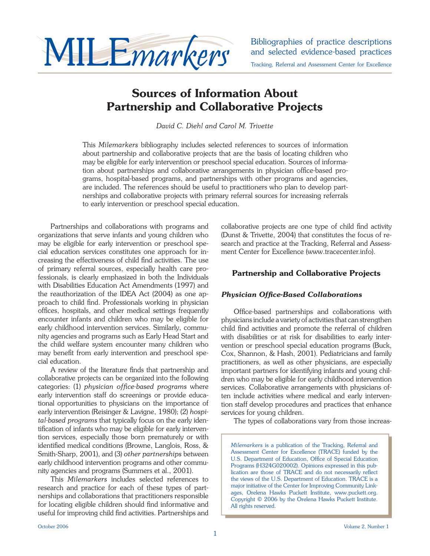

and selected evidence-based practices

Tracking, Referral and Assessment Center for Excellence

## **Sources of Information About Partnership and Collaborative Projects**

*David C. Diehl and Carol M. Trivette*

This *Milemarkers* bibliography includes selected references to sources of information about partnership and collaborative projects that are the basis of locating children who may be eligible for early intervention or preschool special education. Sources of information about partnerships and collaborative arrangements in physician office-based programs, hospital-based programs, and partnerships with other programs and agencies, are included. The references should be useful to practitioners who plan to develop partnerships and collaborative projects with primary referral sources for increasing referrals to early intervention or preschool special education.

 Partnerships and collaborations with programs and organizations that serve infants and young children who may be eligible for early intervention or preschool special education services constitutes one approach for increasing the effectiveness of child find activities. The use of primary referral sources, especially health care professionals, is clearly emphasized in both the Individuals with Disabilities Education Act Amendments (1997) and the reauthorization of the IDEA Act (2004) as one approach to child find. Professionals working in physician offices, hospitals, and other medical settings frequently encounter infants and children who may be eligible for early childhood intervention services. Similarly, community agencies and programs such as Early Head Start and the child welfare system encounter many children who may benefit from early intervention and preschool special education.

A review of the literature finds that partnership and collaborative projects can be organized into the following categories: (1) *physician office-based programs* where early intervention staff do screenings or provide educational opportunities to physicians on the importance of early intervention (Reisinger & Lavigne, 1980); (2) *hospital-based programs* that typically focus on the early identification of infants who may be eligible for early intervention services, especially those born prematurely or with identified medical conditions (Browne, Langlois, Ross, & Smith-Sharp, 2001), and (3) *other partnerships* between early childhood intervention programs and other community agencies and programs (Summers et al., 2001).

 This *Milemarkers* includes selected references to research and practice for each of these types of partnerships and collaborations that practitioners responsible for locating eligible children should find informative and useful for improving child find activities. Partnerships and collaborative projects are one type of child find activity (Dunst & Trivette, 2004) that constitutes the focus of research and practice at the Tracking, Referral and Assessment Center for Excellence (www.tracecenter.info).

## **Partnership and Collaborative Projects**

## **Physician Office-Based Collaborations**

Office-based partnerships and collaborations with physicians include a variety of activities that can strengthen child find activities and promote the referral of children with disabilities or at risk for disabilities to early intervention or preschool special education programs (Buck, Cox, Shannon, & Hash, 2001). Pediatricians and family practitioners, as well as other physicians, are especially important partners for identifying infants and young children who may be eligible for early childhood intervention services. Collaborative arrangements with physicians often include activities where medical and early intervention staff develop procedures and practices that enhance services for young children.

The types of collaborations vary from those increas-

*Milemarkers* is a publication of the Tracking, Referral and Assessment Center for Excellence (TRACE) funded by the U.S. Department of Education, Office of Special Education Programs (H324G020002). Opinions expressed in this publication are those of TRACE and do not necessarily reflect the views of the U.S. Department of Education. TRACE is a major initiative of the Center for Improving Community Linkages, Orelena Hawks Puckett Institute, www.puckett.org. Copyright © 2006 by the Orelena Hawks Puckett Institute. All rights reserved.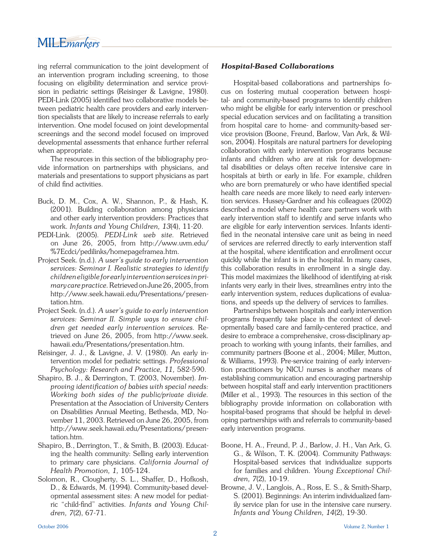ing referral communication to the joint development of an intervention program including screening, to those focusing on eligibility determination and service provision in pediatric settings (Reisinger & Lavigne, 1980). PEDI-Link (2005) identified two collaborative models between pediatric health care providers and early intervention specialists that are likely to increase referrals to early intervention. One model focused on joint developmental screenings and the second model focused on improved developmental assessments that enhance further referral when appropriate.

 The resources in this section of the bibliography provide information on partnerships with physicians, and materials and presentations to support physicians as part of child find activities.

- Buck, D. M., Cox, A. W., Shannon, P., & Hash, K. (2001). Building collaboration among physicians and other early intervention providers: Practices that work. *Infants and Young Children, 13*(4), 11-20.
- PEDI-Link. (2005). *PEDI-Link web site.* Retrieved on June 26, 2005, from http://www.uvm.edu/ %7Ecdci/pedilinks/homepageframea.htm.
- Project Seek. (n.d.). *A user's guide to early intervention services: Seminar I. Realistic strategies to identify children eligible for early intervention services in primary care practice.* Retrieved on June 26, 2005, from http://www.seek.hawaii.edu/Presentations/ presentation.htm.
- Project Seek. (n.d.). *A user's guide to early intervention services: Seminar II. Simple ways to ensure children get needed early intervention services.* Retrieved on June 26, 2005, from http://www.seek. hawaii.edu/Presentations/presentation.htm.
- Reisinger, J. J., & Lavigne, J. V. (1980). An early intervention model for pediatric settings. *Professional Psychology: Research and Practice, 11,* 582-590.
- Shapiro, B. J., & Derrington, T. (2003, November). *Improving identification of babies with special needs: Working both sides of the public/private divide.*  Presentation at the Association of University Centers on Disabilities Annual Meeting, Bethesda, MD, November 11, 2003. Retrieved on June 26, 2005, from http://www.seek.hawaii.edu/Presentations/ presentation.htm.
- Shapiro, B., Derrington, T., & Smith, B. (2003). Educating the health community: Selling early intervention to primary care physicians. *California Journal of Health Promotion, 1,* 105-124.
- Solomon, R., Clougherty, S. L., Shaffer, D., Hofkosh, D., & Edwards, M. (1994). Community-based developmental assessment sites: A new model for pediatric "child-find" activities. *Infants and Young Children, 7*(2), 67-71.

## *Hospital-Based Collaborations*

 Hospital-based collaborations and partnerships focus on fostering mutual cooperation between hospital- and community-based programs to identify children who might be eligible for early intervention or preschool special education services and on facilitating a transition from hospital care to home- and community-based service provision (Boone, Freund, Barlow, Van Ark, & Wilson, 2004). Hospitals are natural partners for developing collaboration with early intervention programs because infants and children who are at risk for developmental disabilities or delays often receive intensive care in hospitals at birth or early in life. For example, children who are born prematurely or who have identified special health care needs are more likely to need early intervention services. Hussey-Gardner and his colleagues (2002) described a model where health care partners work with early intervention staff to identify and serve infants who are eligible for early intervention services. Infants identified in the neonatal intensive care unit as being in need of services are referred directly to early intervention staff at the hospital, where identification and enrollment occur quickly while the infant is in the hospital. In many cases, this collaboration results in enrollment in a single day. This model maximizes the likelihood of identifying at-risk infants very early in their lives, streamlines entry into the early intervention system, reduces duplications of evaluations, and speeds up the delivery of services to families.

 Partnerships between hospitals and early intervention programs frequently take place in the context of developmentally based care and family-centered practice, and desire to embrace a comprehensive, cross-disciplinary approach to working with young infants, their families, and community partners (Boone et al., 2004; Miller, Mutton, & Williams, 1993). Pre-service training of early intervention practitioners by NICU nurses is another means of establishing communication and encouraging partnership between hospital staff and early intervention practitioners (Miller et al., 1993). The resources in this section of the bibliography provide information on collaboration with hospital-based programs that should be helpful in developing partnerships with and referrals to community-based early intervention programs.

- Boone, H. A., Freund, P. J., Barlow, J. H., Van Ark, G. G., & Wilson, T. K. (2004). Community Pathways: Hospital-based services that individualize supports for families and children. *Young Exceptional Children, 7*(2), 10-19.
- Browne, J. V., Langlois, A., Ross, E. S., & Smith-Sharp, S. (2001). Beginnings: An interim individualized family service plan for use in the intensive care nursery. *Infants and Young Children, 14*(2), 19-30.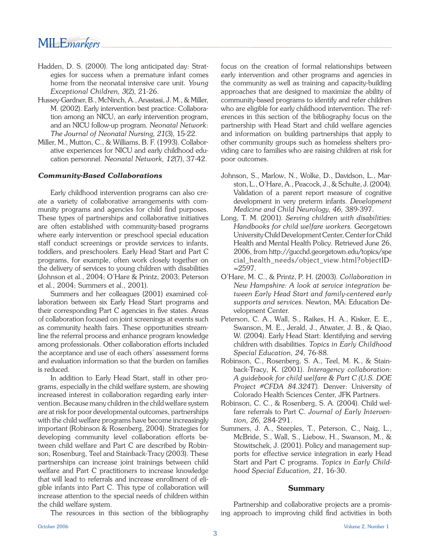# MILE*markers*

- Hadden, D. S. (2000). The long anticipated day: Strategies for success when a premature infant comes home from the neonatal intensive care unit. *Young Exceptional Children, 3*(2), 21-26.
- Hussey-Gardner, B., McNinch, A., Anastasi, J. M., & Miller, M. (2002). Early intervention best practice: Collaboration among an NICU, an early intervention program, and an NICU follow-up program. *Neonatal Network: The Journal of Neonatal Nursing, 21*(3), 15-22.
- Miller, M., Mutton, C., & Williams, B. F. (1993). Collaborative experiences for NICU and early childhood education personnel. *Neonatal Network, 12*(7), 37-42.

### *Community-Based Collaborations*

 Early childhood intervention programs can also create a variety of collaborative arrangements with community programs and agencies for child find purposes. These types of partnerships and collaborative initiatives are often established with community-based programs where early intervention or preschool special education staff conduct screenings or provide services to infants, toddlers, and preschoolers. Early Head Start and Part C programs, for example, often work closely together on the delivery of services to young children with disabilities (Johnson et al., 2004; O'Hare & Printz, 2003; Peterson et al., 2004; Summers et al., 2001).

 Summers and her colleagues (2001) examined collaboration between six Early Head Start programs and their corresponding Part C agencies in five states. Areas of collaboration focused on joint screenings at events such as community health fairs. These opportunities streamline the referral process and enhance program knowledge among professionals. Other collaboration efforts included the acceptance and use of each others' assessment forms and evaluation information so that the burden on families is reduced.

 In addition to Early Head Start, staff in other programs, especially in the child welfare system, are showing increased interest in collaboration regarding early intervention. Because many children in the child welfare system are at risk for poor developmental outcomes, partnerships with the child welfare programs have become increasingly important (Robinson & Rosenberg, 2004). Strategies for developing community level collaboration efforts between child welfare and Part C are described by Robinson, Rosenburg, Teel and Stainback-Tracy (2003). These partnerships can increase joint trainings between child welfare and Part C practitioners to increase knowledge that will lead to referrals and increase enrollment of eligible infants into Part C. This type of collaboration will increase attention to the special needs of children within the child welfare system.

The resources in this section of the bibliography

focus on the creation of formal relationships between early intervention and other programs and agencies in the community as well as training and capacity-building approaches that are designed to maximize the ability of community-based programs to identify and refer children who are eligible for early childhood intervention. The references in this section of the bibliography focus on the partnership with Head Start and child welfare agencies and information on building partnerships that apply to other community groups such as homeless shelters providing care to families who are raising children at risk for poor outcomes.

- Johnson, S., Marlow, N., Wolke, D., Davidson, L., Marston, L., O'Hare, A., Peacock, J., & Schulte, J. (2004). Validation of a parent report measure of cognitive development in very preterm infants. *Development Medicine and Child Neurology, 46,* 389-397.
- Long, T. M. (2001). *Serving children with disabilities: Handbooks for child welfare workers.* Georgetown University Child Development Center, Center for Child Health and Mental Health Policy. Retrieved June 26, 2006, from http://gucchd.georgetown.edu/topics/spe cial\_health\_needs/object\_view.html?objectID-  $=2597.$
- O'Hare, M. C., & Printz, P. H. (2003). *Collaboration in New Hampshire: A look at service integration between Early Head Start and family-centered early supports and services.* Newton, MA: Education Development Center.
- Peterson, C. A., Wall, S., Raikes, H. A., Kisker, E. E., Swanson, M. E., Jerald, J., Atwater, J. B., & Qiao, W. (2004). Early Head Start: Identifying and serving children with disabilities. *Topics in Early Childhood Special Education, 24,* 76-88.
- Robinson, C., Rosenberg, S. A., Teel, M. K., & Stainback-Tracy, K. (2001). *Interagency collaboration: A guidebook for child welfare & Part C (U.S. DOE Project #CFDA 84.324T).* Denver: University of Colorado Health Sciences Center, JFK Partners.
- Robinson, C. C., & Rosenberg, S. A. (2004). Child welfare referrals to Part C. *Journal of Early Intervention, 26,* 284-291.
- Summers, J. A., Steeples, T., Peterson, C., Naig, L., McBride, S., Wall, S., Liebow, H., Swanson, M., & Stowitschek, J. (2001). Policy and management supports for effective service integration in early Head Start and Part C programs. *Topics in Early Childhood Special Education, 21,* 16-30.

#### **Summary**

 Partnership and collaborative projects are a promising approach to improving child find activities in both